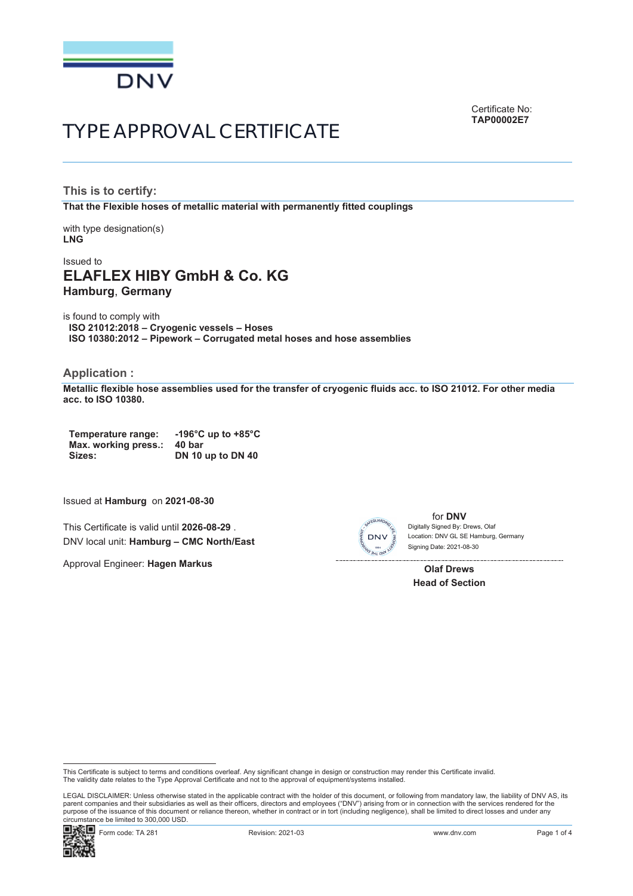

Certificate No: **TAP00002E7**

# TYPE APPROVAL CERTIFICATE

**This is to certify: That the Flexible hoses of metallic material with permanently fitted couplings**

with type designation(s) **LNG**

# Issued to **ELAFLEX HIBY GmbH & Co. KG Hamburg**, **Germany**

is found to comply with **ISO 21012:2018 – Cryogenic vessels – Hoses ISO 10380:2012 – Pipework – Corrugated metal hoses and hose assemblies**

### **Application :**

**Metallic flexible hose assemblies used for the transfer of cryogenic fluids acc. to ISO 21012. For other media acc. to ISO 10380.**

**Temperature range: -196°C up to +85°C Max. working press.: 40 bar Sizes: DN 10 up to DN 40**

Issued at **Hamburg** on **2021-08-30**

This Certificate is valid until **2026-08-29** . DNV local unit: **Hamburg – CMC North/East**

Approval Engineer: **Hagen Markus**



for **DNV** Signing Date: 2021-08-30 Location: DNV GL SE Hamburg, Germany Digitally Signed By: Drews, Olaf

**Olaf Drews Head of Section**

LEGAL DISCLAIMER: Unless otherwise stated in the applicable contract with the holder of this document, or following from mandatory law, the liability of DNV AS, its<br>parent companies and their subsidiaries as well as their purpose of the issuance of this document or reliance thereon, whether in contract or in tort (including negligence), shall be limited to direct losses and under any circumstance be limited to 300,000 USD.



This Certificate is subject to terms and conditions overleaf. Any significant change in design or construction may render this Certificate invalid. The validity date relates to the Type Approval Certificate and not to the approval of equipment/systems installed.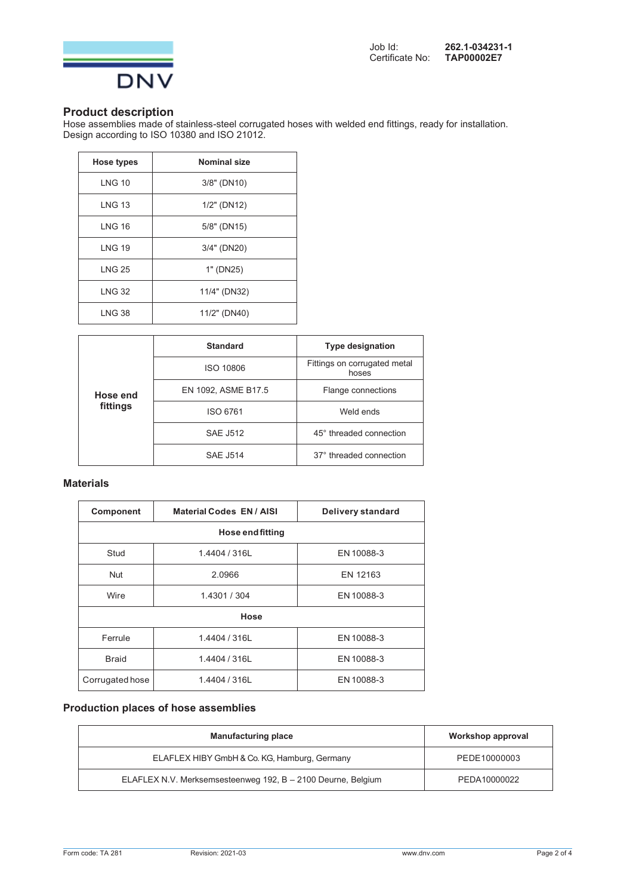

# **Product description**

Hose assemblies made of stainless-steel corrugated hoses with welded end fittings, ready for installation. Design according to ISO 10380 and ISO 21012.

| <b>Hose types</b> | <b>Nominal size</b> |
|-------------------|---------------------|
| <b>LNG 10</b>     | 3/8" (DN10)         |
| <b>LNG 13</b>     | $1/2$ " (DN12)      |
| <b>LNG 16</b>     | 5/8" (DN15)         |
| <b>LNG 19</b>     | 3/4" (DN20)         |
| <b>LNG 25</b>     | 1" (DN25)           |
| <b>LNG 32</b>     | 11/4" (DN32)        |
| <b>LNG 38</b>     | 11/2" (DN40)        |

| Hose end<br>fittings | <b>Standard</b>     | <b>Type designation</b>               |
|----------------------|---------------------|---------------------------------------|
|                      | <b>ISO 10806</b>    | Fittings on corrugated metal<br>hoses |
|                      | EN 1092, ASME B17.5 | Flange connections                    |
|                      | ISO 6761            | Weld ends                             |
|                      | <b>SAE J512</b>     | 45° threaded connection               |
|                      | <b>SAE J514</b>     | 37° threaded connection               |

# **Materials**

| <b>Component</b>        | <b>Material Codes EN / AISI</b> | <b>Delivery standard</b> |  |
|-------------------------|---------------------------------|--------------------------|--|
| <b>Hose end fitting</b> |                                 |                          |  |
| Stud                    | 1.4404 / 316L                   | EN 10088-3               |  |
| <b>Nut</b>              | 2.0966                          | EN 12163                 |  |
| Wire                    | 1.4301 / 304                    | EN 10088-3               |  |
| Hose                    |                                 |                          |  |
| Ferrule                 | 1.4404 / 316L                   | EN 10088-3               |  |
| <b>Braid</b>            | 1.4404 / 316L                   | EN 10088-3               |  |
| Corrugated hose         | 1.4404 / 316L                   | EN 10088-3               |  |

# **Production places of hose assemblies**

| <b>Manufacturing place</b>                                   | Workshop approval |
|--------------------------------------------------------------|-------------------|
| ELAFLEX HIBY GmbH & Co. KG, Hamburg, Germany                 | PEDE10000003      |
| ELAFLEX N.V. Merksemsesteenweg 192, B - 2100 Deurne, Belgium | PEDA10000022      |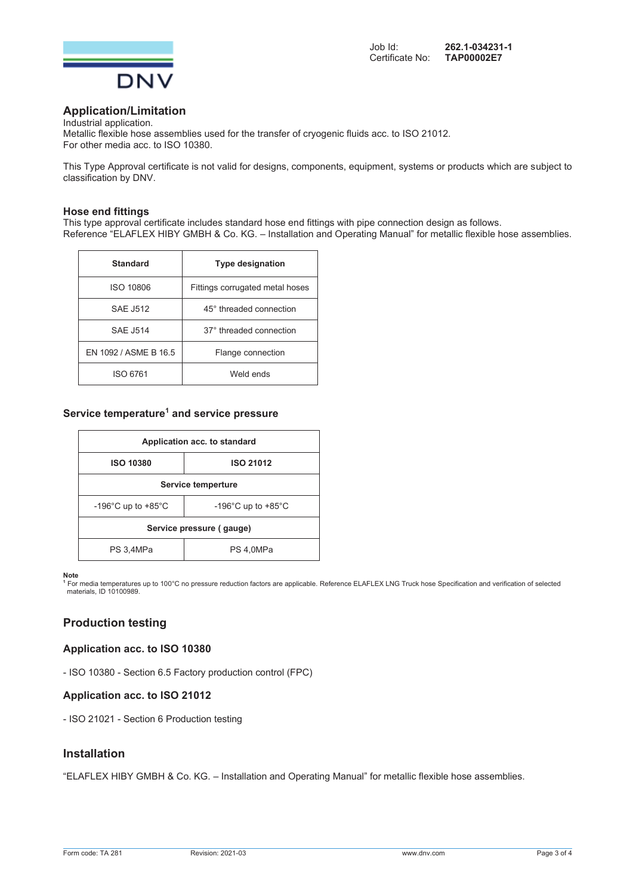

# **Application/Limitation**

Industrial application. Metallic flexible hose assemblies used for the transfer of cryogenic fluids acc. to ISO 21012. For other media acc. to ISO 10380.

This Type Approval certificate is not valid for designs, components, equipment, systems or products which are subject to classification by DNV.

#### **Hose end fittings**

This type approval certificate includes standard hose end fittings with pipe connection design as follows. Reference "ELAFLEX HIBY GMBH & Co. KG. – Installation and Operating Manual" for metallic flexible hose assemblies.

| <b>Standard</b>       | <b>Type designation</b>         |
|-----------------------|---------------------------------|
| ISO 10806             | Fittings corrugated metal hoses |
| <b>SAE J512</b>       | 45° threaded connection         |
| <b>SAE J514</b>       | 37° threaded connection         |
| EN 1092 / ASME B 16.5 | Flange connection               |
| ISO 6761              | Weld ends                       |

# **Service temperature1 and service pressure**

| Application acc. to standard             |                                          |  |
|------------------------------------------|------------------------------------------|--|
| <b>ISO 10380</b>                         | <b>ISO 21012</b>                         |  |
| Service temperture                       |                                          |  |
| -196 $^{\circ}$ C up to +85 $^{\circ}$ C | -196 $^{\circ}$ C up to +85 $^{\circ}$ C |  |
| Service pressure (gauge)                 |                                          |  |
| PS 3,4MPa                                | PS 4.0MPa                                |  |

**Note**<br>1 For media temperatures up to 100°C no pressure reduction factors are applicable. Reference ELAFLEX LNG Truck hose Specification and verification of selected<br>\_materials, ID 10100989.

# **Production testing**

#### **Application acc. to ISO 10380**

- ISO 10380 - Section 6.5 Factory production control (FPC)

#### **Application acc. to ISO 21012**

- ISO 21021 - Section 6 Production testing

# **Installation**

"ELAFLEX HIBY GMBH & Co. KG. – Installation and Operating Manual" for metallic flexible hose assemblies.